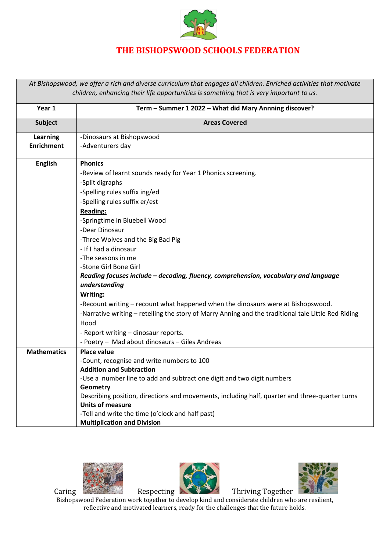

## **THE BISHOPSWOOD SCHOOLS FEDERATION**

*At Bishopswood, we offer a rich and diverse curriculum that engages all children. Enriched activities that motivate children, enhancing their life opportunities is something that is very important to us.*

| Year 1             | Term - Summer 1 2022 - What did Mary Annning discover?                                              |
|--------------------|-----------------------------------------------------------------------------------------------------|
| <b>Subject</b>     | <b>Areas Covered</b>                                                                                |
| Learning           | -Dinosaurs at Bishopswood                                                                           |
| <b>Enrichment</b>  | -Adventurers day                                                                                    |
| <b>English</b>     | <b>Phonics</b>                                                                                      |
|                    | -Review of learnt sounds ready for Year 1 Phonics screening.                                        |
|                    | -Split digraphs                                                                                     |
|                    | -Spelling rules suffix ing/ed                                                                       |
|                    | -Spelling rules suffix er/est                                                                       |
|                    | <b>Reading:</b>                                                                                     |
|                    | -Springtime in Bluebell Wood                                                                        |
|                    | -Dear Dinosaur                                                                                      |
|                    | -Three Wolves and the Big Bad Pig                                                                   |
|                    | - If I had a dinosaur                                                                               |
|                    | -The seasons in me                                                                                  |
|                    | -Stone Girl Bone Girl                                                                               |
|                    | Reading focuses include - decoding, fluency, comprehension, vocabulary and language                 |
|                    | understanding                                                                                       |
|                    | Writing:                                                                                            |
|                    | -Recount writing - recount what happened when the dinosaurs were at Bishopswood.                    |
|                    | -Narrative writing - retelling the story of Marry Anning and the traditional tale Little Red Riding |
|                    | Hood                                                                                                |
|                    | - Report writing - dinosaur reports.                                                                |
|                    | - Poetry - Mad about dinosaurs - Giles Andreas                                                      |
| <b>Mathematics</b> | <b>Place value</b>                                                                                  |
|                    | -Count, recognise and write numbers to 100                                                          |
|                    | <b>Addition and Subtraction</b>                                                                     |
|                    | -Use a number line to add and subtract one digit and two digit numbers                              |
|                    | Geometry                                                                                            |
|                    | Describing position, directions and movements, including half, quarter and three-quarter turns      |
|                    | <b>Units of measure</b>                                                                             |
|                    | -Tell and write the time (o'clock and half past)                                                    |
|                    | <b>Multiplication and Division</b>                                                                  |







Caring **Caring Respecting Thriving Together** 

Bishopswood Federation work together to develop kind and considerate children who are resilient, reflective and motivated learners, ready for the challenges that the future holds.